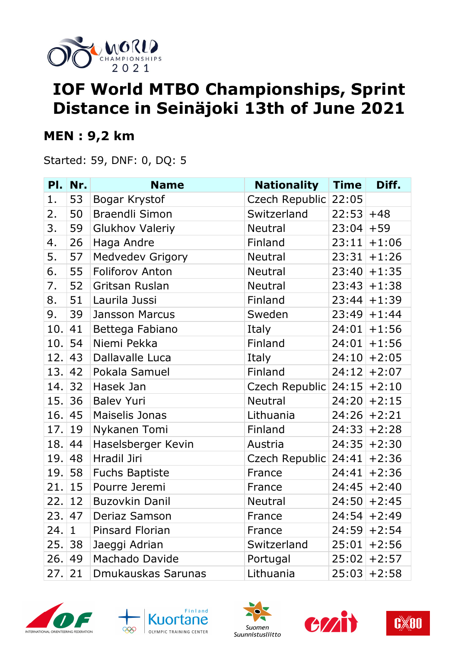

# **IOF World MTBO Championships, Sprint Distance in Seinäjoki 13th of June 2021**

#### **MEN : 9,2 km**

Started: 59, DNF: 0, DQ: 5

| PI.     | Nr.          | <b>Name</b>             | <b>Nationality</b>   | <b>Time</b> | Diff.          |
|---------|--------------|-------------------------|----------------------|-------------|----------------|
| 1.      | 53           | Bogar Krystof           | Czech Republic       | 22:05       |                |
| 2.      | 50           | <b>Braendli Simon</b>   | Switzerland          | $22:53$ +48 |                |
| 3.      | 59           | <b>Glukhov Valeriy</b>  | <b>Neutral</b>       | $23:04$ +59 |                |
| 4.      | 26           | Haga Andre              | Finland              | 23:11       | $+1:06$        |
| 5.      | 57           | <b>Medvedev Grigory</b> | <b>Neutral</b>       |             | $23:31 + 1:26$ |
| 6.      | 55           | <b>Foliforov Anton</b>  | <b>Neutral</b>       |             | $23:40 + 1:35$ |
| 7.      | 52           | Gritsan Ruslan          | <b>Neutral</b>       |             | $23:43+1:38$   |
| 8.      | 51           | Laurila Jussi           | Finland              |             | $23:44$ + 1:39 |
| 9.      | 39           | <b>Jansson Marcus</b>   | Sweden               | 23:49       | $+1:44$        |
| 10.     | 41           | Bettega Fabiano         | Italy                |             | $24:01$ +1:56  |
| 10.     | 54           | Niemi Pekka             | Finland              | 24:01       | $+1:56$        |
| 12.     | 43           | Dallavalle Luca         | Italy                |             | $24:10$ +2:05  |
| 13.     | 42           | Pokala Samuel           | Finland              |             | $24:12$ +2:07  |
| 14.     | 32           | Hasek Jan               | Czech Republic       |             | $24:15$ +2:10  |
| 15.     | 36           | <b>Balev Yuri</b>       | <b>Neutral</b>       |             | $24:20$ + 2:15 |
| 16.     | 45           | Maiselis Jonas          | Lithuania            |             | $24:26$ +2:21  |
| 17.     | 19           | Nykanen Tomi            | Finland              |             | $24:33$ + 2:28 |
| 18.     | 44           | Haselsberger Kevin      | Austria              | 24:35       | $+2:30$        |
| 19.     | 48           | Hradil Jiri             | Czech Republic 24:41 |             | $+2:36$        |
|         | 19.58        | <b>Fuchs Baptiste</b>   | France               | 24:41       | $+2:36$        |
| 21.     | 15           | Pourre Jeremi           | France               |             | $24:45$ +2:40  |
| 22.1    | 12           | <b>Buzovkin Danil</b>   | <b>Neutral</b>       |             | $24:50$ + 2:45 |
| 23.  47 |              | Deriaz Samson           | France               |             | $24:54$ +2:49  |
| 24.     | $\mathbf{1}$ | <b>Pinsard Florian</b>  | France               |             | $24:59$ +2:54  |
| 25.     | 38           | Jaeggi Adrian           | Switzerland          | 25:01       | $+2:56$        |
| 26.     | 49           | Machado Davide          | Portugal             | 25:02       | $+2:57$        |
| 27.     | 21           | Dmukauskas Sarunas      | Lithuania            | 25:03       | $+2:58$        |









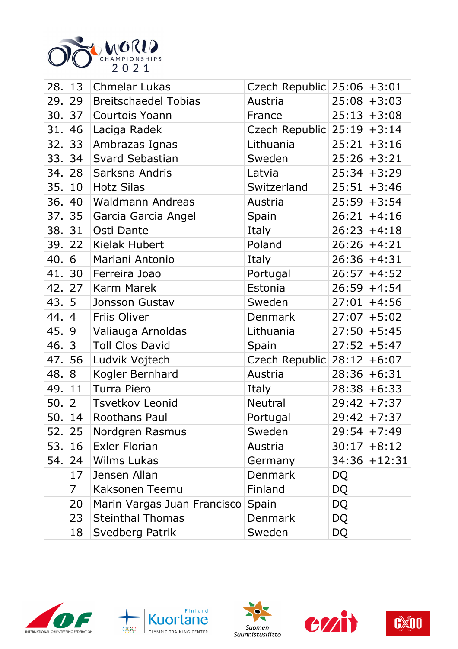

| 28.    | 13             | <b>Chmelar Lukas</b>        | Czech Republic $25:06$ +3:01 |           |                |
|--------|----------------|-----------------------------|------------------------------|-----------|----------------|
| 29.    | 29             | <b>Breitschaedel Tobias</b> | Austria                      |           | $25:08$ + 3:03 |
| 30.    | 37             | Courtois Yoann              | France                       |           | $25:13+3:08$   |
| 31.    | 46             | Laciga Radek                | Czech Republic $25:19$ +3:14 |           |                |
| 32.    | 33             | Ambrazas Ignas              | Lithuania                    |           | $25:21$ + 3:16 |
|        | 33.  34        | Svard Sebastian             | Sweden                       |           | $25:26$ + 3:21 |
| 34.    | 28             | Sarksna Andris              | Latvia                       |           | $25:34$ + 3:29 |
| 35.    | 10             | <b>Hotz Silas</b>           | Switzerland                  |           | $25:51$ + 3:46 |
| 36.    | 40             | Waldmann Andreas            | Austria                      |           | $25:59$ + 3:54 |
| 37.    | 35             | Garcia Garcia Angel         | Spain                        |           | $26:21$ +4:16  |
| 38.    | 31             | Osti Dante                  | Italy                        |           | $26:23+4:18$   |
| 39.    | 22             | Kielak Hubert               | Poland                       |           | $26:26$ +4:21  |
| 40.    | 6              | Mariani Antonio             | Italy                        |           | $26:36$ +4:31  |
| 41.    | 30             | Ferreira Joao               | Portugal                     |           | $26:57$ +4:52  |
| 42. 27 |                | <b>Karm Marek</b>           | Estonia                      |           | $26:59$ +4:54  |
| 43. 5  |                | Jonsson Gustav              | Sweden                       |           | $27:01$ +4:56  |
| 44.    | 4              | Friis Oliver                | <b>Denmark</b>               |           | $27:07$ +5:02  |
| 45.    | 9              | Valiauga Arnoldas           | Lithuania                    |           | $27:50$ +5:45  |
| 46.    | 3              | <b>Toll Clos David</b>      | Spain                        |           | $27:52$ +5:47  |
| 47.    | 56             | Ludvik Vojtech              | Czech Republic               |           | $28:12$ +6:07  |
| 48.    | 8              | Kogler Bernhard             | Austria                      |           | $28:36$ +6:31  |
| 49.    | 11             | Turra Piero                 | Italy                        |           | $28:38$ +6:33  |
| 50.    | 2              | <b>Tsvetkov Leonid</b>      | <b>Neutral</b>               |           | $29:42$ + 7:37 |
|        | 50.14          | Roothans Paul               | Portugal                     |           | $29:42$ +7:37  |
|        | 52.  25        | Nordgren Rasmus             | Sweden                       |           | $29:54$ +7:49  |
| 53.    | 16             | <b>Exler Florian</b>        | Austria                      |           | $30:17$ +8:12  |
| 54.    | 24             | <b>Wilms Lukas</b>          | Germany                      |           | $34:36$ +12:31 |
|        | 17             | Jensen Allan                | <b>Denmark</b>               | DQ        |                |
|        | $\overline{7}$ | Kaksonen Teemu              | Finland                      | <b>DQ</b> |                |
|        | 20             | Marin Vargas Juan Francisco | Spain                        | DQ        |                |
|        | 23             | <b>Steinthal Thomas</b>     | <b>Denmark</b>               | <b>DQ</b> |                |
|        | 18             | Svedberg Patrik             | Sweden                       | <b>DQ</b> |                |









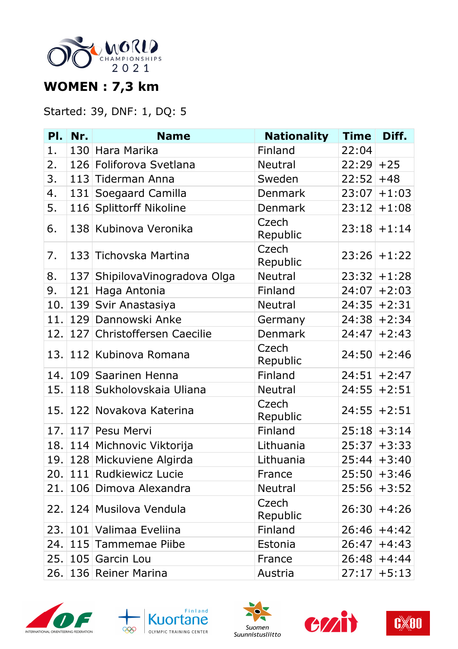

## **WOMEN : 7,3 km**

#### Started: 39, DNF: 1, DQ: 5

| PI.  | Nr. | <b>Name</b>                   | <b>Nationality</b> | <b>Time</b> | Diff.          |
|------|-----|-------------------------------|--------------------|-------------|----------------|
| 1.   |     | 130 Hara Marika               | Finland            | 22:04       |                |
| 2.   |     | 126 Foliforova Svetlana       | <b>Neutral</b>     | 22:29       | $+25$          |
| 3.   |     | 113 Tiderman Anna             | Sweden             | 22:52       | $+48$          |
| 4.   |     | 131 Soegaard Camilla          | Denmark            | 23:07       | $+1:03$        |
| 5.   |     | 116 Splittorff Nikoline       | <b>Denmark</b>     | 23:12       | $+1:08$        |
| 6.   |     | 138 Kubinova Veronika         | Czech<br>Republic  | 23:18       | $+1:14$        |
| 7.   |     | 133 Tichovska Martina         | Czech<br>Republic  |             | $23:26$ +1:22  |
| 8.   |     | 137 ShipilovaVinogradova Olga | <b>Neutral</b>     | 23:32       | $+1:28$        |
| 9.   | 121 | Haga Antonia                  | Finland            | 24:07       | $+2:03$        |
| 10.  |     | 139 Svir Anastasiya           | <b>Neutral</b>     | 24:35       | $+2:31$        |
| 11.  |     | 129 Dannowski Anke            | Germany            |             | $24:38$ + 2:34 |
| 12.  |     | 127 Christoffersen Caecilie   | Denmark            | 24:47       | $+2:43$        |
|      |     | 13. 112 Kubinova Romana       | Czech<br>Republic  | 24:50       | $+2:46$        |
| 14.  |     | 109 Saarinen Henna            | Finland            | 24:51       | $+2:47$        |
| 15.  |     | 118 Sukholovskaia Uliana      | <b>Neutral</b>     | 24:55       | $+2:51$        |
| 15.1 |     | 122 Novakova Katerina         | Czech<br>Republic  | 24:55       | $+2:51$        |
| 17.  |     | 117 Pesu Mervi                | Finland            |             | $25:18$ + 3:14 |
|      |     | 18. 114 Michnovic Viktorija   | Lithuania          | 25:37       | $+3:33$        |
|      |     | 19. 128 Mickuviene Algirda    | Lithuania          |             | $25:44$ + 3:40 |
|      |     | 20. 111 Rudkiewicz Lucie      | France             |             | $25:50$ +3:46  |
| 21.1 |     | 106 Dimova Alexandra          | <b>Neutral</b>     | 25:56       | $+3:52$        |
| 22.1 |     | 124 Musilova Vendula          | Czech<br>Republic  |             | $26:30$ +4:26  |
|      |     | 23. 101 Valimaa Eveliina      | Finland            | 26:46       | $+4:42$        |
|      |     | 24. 115 Tammemae Piibe        | Estonia            | 26:47       | $+4:43$        |
|      |     | 25. 105 Garcin Lou            | France             | 26:48       | $+4:44$        |
|      |     | 26. 136 Reiner Marina         | Austria            | 27:17       | $+5:13$        |









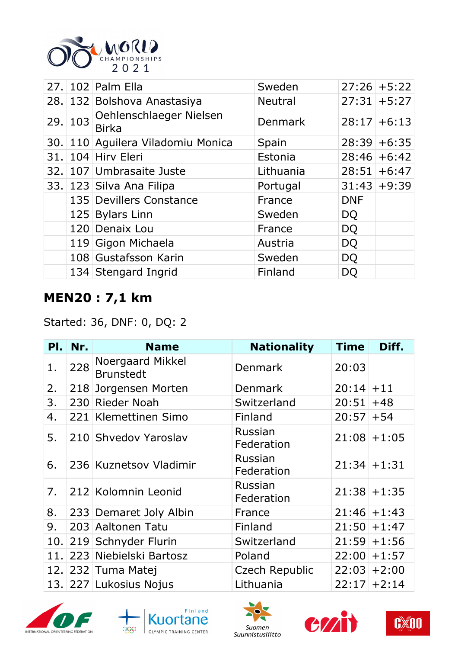

|        | 27. 102 Palm Ella                       | Sweden         |            | $27:26$ +5:22 |
|--------|-----------------------------------------|----------------|------------|---------------|
|        | 28. 132 Bolshova Anastasiya             | <b>Neutral</b> |            | $27:31$ +5:27 |
| 29.103 | Oehlenschlaeger Nielsen<br><b>Birka</b> | Denmark        |            | $28:17$ +6:13 |
|        | 30. 110 Aguilera Viladomiu Monica       | Spain          |            | $28:39$ +6:35 |
|        | 31. 104 Hirv Eleri                      | Estonia        |            | $28:46$ +6:42 |
|        | 32. 107 Umbrasaite Juste                | Lithuania      |            | $28:51$ +6:47 |
|        | 33. 123 Silva Ana Filipa                | Portugal       |            | $31:43+9:39$  |
|        | 135 Devillers Constance                 | France         | <b>DNF</b> |               |
|        | 125 Bylars Linn                         | Sweden         | <b>DQ</b>  |               |
|        | 120 Denaix Lou                          | France         | DQ         |               |
|        | 119 Gigon Michaela                      | Austria        | DQ         |               |
|        | 108 Gustafsson Karin                    | Sweden         | <b>DQ</b>  |               |
|        | 134 Stengard Ingrid                     | Finland        | DQ         |               |

## **MEN20 : 7,1 km**

Started: 36, DNF: 0, DQ: 2

| PI.  | Nr. | <b>Name</b>                          | <b>Nationality</b>    | <b>Time</b>  | Diff.          |
|------|-----|--------------------------------------|-----------------------|--------------|----------------|
| 1.   | 228 | Noergaard Mikkel<br><b>Brunstedt</b> | Denmark               | 20:03        |                |
| 2.   |     | 218 Jorgensen Morten                 | Denmark               | $20:14$ + 11 |                |
| 3.   |     | 230 Rieder Noah                      | Switzerland           | 20:51        | $+48$          |
| 4.   |     | 221 Klemettinen Simo                 | Finland               | $20:57$ + 54 |                |
| 5.   |     | 210 Shvedov Yaroslav                 | Russian<br>Federation |              | $21:08$ +1:05  |
| 6.   |     | 236 Kuznetsov Vladimir               | Russian<br>Federation |              | $21:34$ + 1:31 |
| 7.   |     | 212 Kolomnin Leonid                  | Russian<br>Federation |              | $21:38$ +1:35  |
| 8.   |     | 233 Demaret Joly Albin               | France                |              | $21:46$ +1:43  |
| 9.   |     | 203 Aaltonen Tatu                    | Finland               |              | $21:50 + 1:47$ |
| 10.1 |     | 219 Schnyder Flurin                  | Switzerland           |              | $21:59$ + 1:56 |
| 11.1 |     | 223 Niebielski Bartosz               | Poland                |              | $22:00 + 1:57$ |
|      |     | 12. 232 Tuma Matej                   | Czech Republic        |              | $22:03$ + 2:00 |
|      |     | 13. 227 Lukosius Nojus               | Lithuania             |              | $22:17$ + 2:14 |









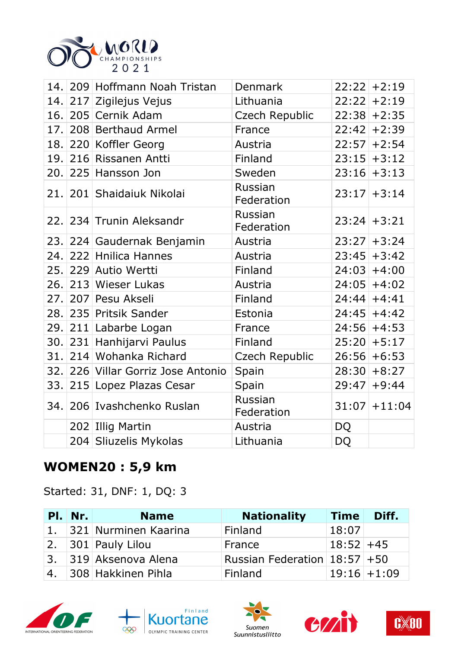

|     | 14. 209 Hoffmann Noah Tristan  | Denmark               |           | $22:22$ +2:19   |
|-----|--------------------------------|-----------------------|-----------|-----------------|
|     | 14. 217 Zigilejus Vejus        | Lithuania             | 22:22     | $+2:19$         |
|     | 16. 205 Cernik Adam            | Czech Republic        |           | $22:38$ + 2:35  |
| 17. | 208 Berthaud Armel             | France                |           | $22:42$ +2:39   |
|     | 18. 220 Koffler Georg          | Austria               |           | $22:57$ +2:54   |
|     | 19. 216 Rissanen Antti         | Finland               |           | $23:15$ + 3:12  |
|     | 20. 225 Hansson Jon            | Sweden                |           | $23:16$ + 3:13  |
|     | 21. 201 Shaidaiuk Nikolai      | Russian<br>Federation |           | $23:17$ + 3:14  |
|     | 22. 234 Trunin Aleksandr       | Russian<br>Federation |           | $23:24$ + 3:21  |
|     | 23. 224 Gaudernak Benjamin     | Austria               |           | $23:27$ + 3:24  |
|     | 24. 222 Hnilica Hannes         | Austria               |           | $23:45$ + 3:42  |
|     | 25. 229 Autio Wertti           | Finland               |           | $24:03$ +4:00   |
|     | 26. 213 Wieser Lukas           | Austria               |           | $24:05$ +4:02   |
|     | 27. 207 Pesu Akseli            | Finland               |           | $24:44$ +4:41   |
|     | 28. 235 Pritsik Sander         | Estonia               |           | $24:45$ +4:42   |
|     | 29. 211 Labarbe Logan          | France                |           | $24:56$ +4:53   |
|     | 30. 231 Hanhijarvi Paulus      | Finland               |           | $25:20$ + 5:17  |
| 31. | 214 Wohanka Richard            | Czech Republic        |           | $26:56$ +6:53   |
| 32. | 226 Villar Gorriz Jose Antonio | Spain                 |           | $28:30+8:27$    |
| 33. | 215 Lopez Plazas Cesar         | Spain                 | 29:47     | $+9:44$         |
| 34. | 206 Ivashchenko Ruslan         | Russian<br>Federation |           | $31:07$ + 11:04 |
|     | 202 Illig Martin               | Austria               | <b>DQ</b> |                 |
|     | 204 Sliuzelis Mykolas          | Lithuania             | <b>DQ</b> |                 |

### **WOMEN20 : 5,9 km**

Started: 31, DNF: 1, DQ: 3

|    | <b>PI.</b> Nr. | <b>Name</b>             | <b>Nationality</b>            | <b>Time</b> | Diff.          |
|----|----------------|-------------------------|-------------------------------|-------------|----------------|
|    |                | 1. 321 Nurminen Kaarina | Finland                       | 18:07       |                |
|    |                | 2. $ 301 $ Pauly Lilou  | France                        | $18:52$ +45 |                |
|    |                | 3. 319 Aksenova Alena   | Russian Federation 18:57 + 50 |             |                |
| 4. |                | 308 Hakkinen Pihla      | <b>Finland</b>                |             | $19:16$ + 1:09 |